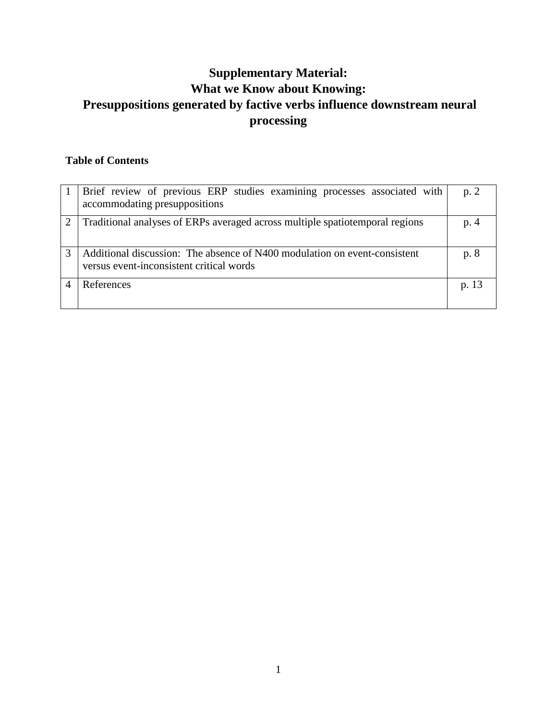# **Supplementary Material: What we Know about Knowing: Presuppositions generated by factive verbs influence downstream neural processing**

## **Table of Contents**

| Brief review of previous ERP studies examining processes associated with<br>accommodating presuppositions             | p.2   |
|-----------------------------------------------------------------------------------------------------------------------|-------|
| Traditional analyses of ERPs averaged across multiple spatioley regions                                               | p. 4  |
| Additional discussion: The absence of N400 modulation on event-consistent<br>versus event-inconsistent critical words | p. 8  |
| References                                                                                                            | p. 13 |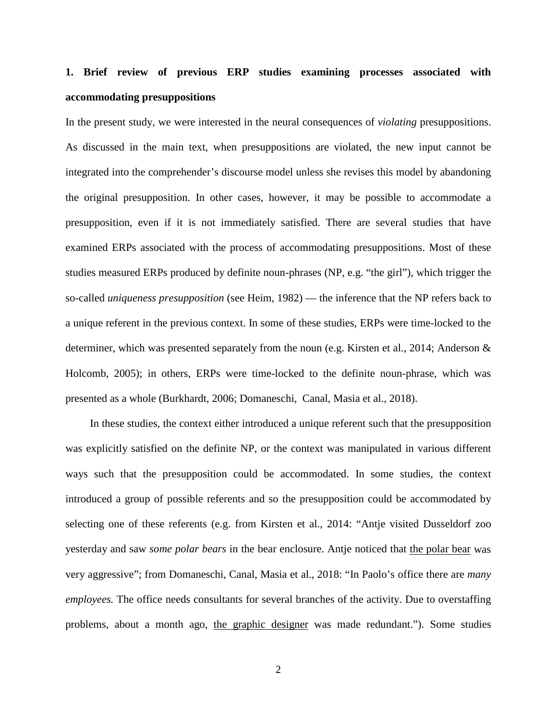# **1. Brief review of previous ERP studies examining processes associated with accommodating presuppositions**

In the present study, we were interested in the neural consequences of *violating* presuppositions. As discussed in the main text, when presuppositions are violated, the new input cannot be integrated into the comprehender's discourse model unless she revises this model by abandoning the original presupposition. In other cases, however, it may be possible to accommodate a presupposition, even if it is not immediately satisfied. There are several studies that have examined ERPs associated with the process of accommodating presuppositions. Most of these studies measured ERPs produced by definite noun-phrases (NP, e.g. "the girl"), which trigger the so-called *uniqueness presupposition* (see Heim, 1982) — the inference that the NP refers back to a unique referent in the previous context. In some of these studies, ERPs were time-locked to the determiner, which was presented separately from the noun (e.g. Kirsten et al., 2014; Anderson & Holcomb, 2005); in others, ERPs were time-locked to the definite noun-phrase, which was presented as a whole (Burkhardt, 2006; Domaneschi, Canal, Masia et al., 2018).

In these studies, the context either introduced a unique referent such that the presupposition was explicitly satisfied on the definite NP, or the context was manipulated in various different ways such that the presupposition could be accommodated. In some studies, the context introduced a group of possible referents and so the presupposition could be accommodated by selecting one of these referents (e.g. from Kirsten et al., 2014: "Antje visited Dusseldorf zoo yesterday and saw *some polar bears* in the bear enclosure. Antje noticed that the polar bear was very aggressive"; from Domaneschi, Canal, Masia et al., 2018: "In Paolo's office there are *many employees.* The office needs consultants for several branches of the activity. Due to overstaffing problems, about a month ago, the graphic designer was made redundant."). Some studies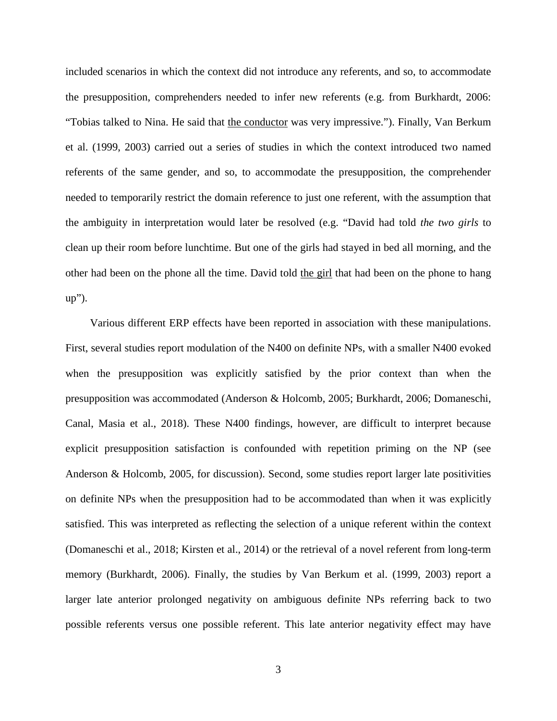included scenarios in which the context did not introduce any referents, and so, to accommodate the presupposition, comprehenders needed to infer new referents (e.g. from Burkhardt, 2006: "Tobias talked to Nina. He said that the conductor was very impressive."). Finally, Van Berkum et al. (1999, 2003) carried out a series of studies in which the context introduced two named referents of the same gender, and so, to accommodate the presupposition, the comprehender needed to temporarily restrict the domain reference to just one referent, with the assumption that the ambiguity in interpretation would later be resolved (e.g. "David had told *the two girls* to clean up their room before lunchtime. But one of the girls had stayed in bed all morning, and the other had been on the phone all the time. David told the girl that had been on the phone to hang up").

Various different ERP effects have been reported in association with these manipulations. First, several studies report modulation of the N400 on definite NPs, with a smaller N400 evoked when the presupposition was explicitly satisfied by the prior context than when the presupposition was accommodated (Anderson & Holcomb, 2005; Burkhardt, 2006; Domaneschi, Canal, Masia et al., 2018). These N400 findings, however, are difficult to interpret because explicit presupposition satisfaction is confounded with repetition priming on the NP (see Anderson & Holcomb, 2005, for discussion). Second, some studies report larger late positivities on definite NPs when the presupposition had to be accommodated than when it was explicitly satisfied. This was interpreted as reflecting the selection of a unique referent within the context (Domaneschi et al., 2018; Kirsten et al., 2014) or the retrieval of a novel referent from long-term memory (Burkhardt, 2006). Finally, the studies by Van Berkum et al. (1999, 2003) report a larger late anterior prolonged negativity on ambiguous definite NPs referring back to two possible referents versus one possible referent. This late anterior negativity effect may have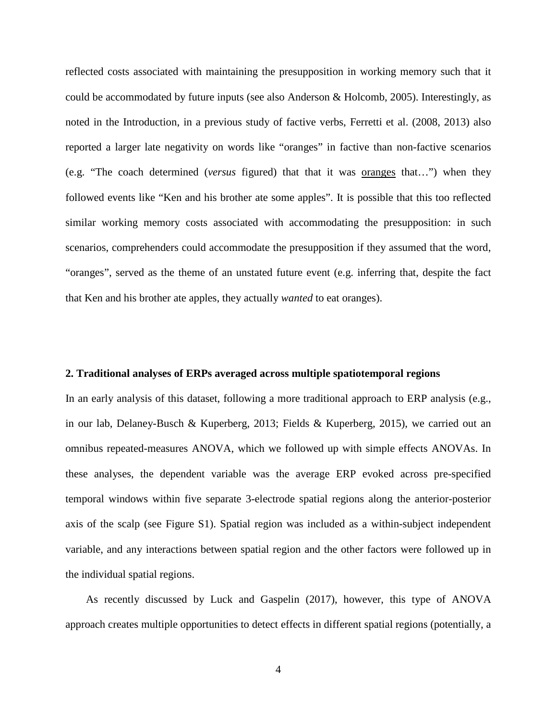reflected costs associated with maintaining the presupposition in working memory such that it could be accommodated by future inputs (see also Anderson & Holcomb, 2005). Interestingly, as noted in the Introduction, in a previous study of factive verbs, Ferretti et al. (2008, 2013) also reported a larger late negativity on words like "oranges" in factive than non-factive scenarios (e.g. "The coach determined (*versus* figured) that that it was oranges that…") when they followed events like "Ken and his brother ate some apples". It is possible that this too reflected similar working memory costs associated with accommodating the presupposition: in such scenarios, comprehenders could accommodate the presupposition if they assumed that the word, "oranges", served as the theme of an unstated future event (e.g. inferring that, despite the fact that Ken and his brother ate apples, they actually *wanted* to eat oranges).

### **2. Traditional analyses of ERPs averaged across multiple spatiotemporal regions**

In an early analysis of this dataset, following a more traditional approach to ERP analysis (e.g., in our lab, Delaney-Busch & Kuperberg, 2013; Fields & Kuperberg, 2015), we carried out an omnibus repeated-measures ANOVA, which we followed up with simple effects ANOVAs. In these analyses, the dependent variable was the average ERP evoked across pre-specified temporal windows within five separate 3-electrode spatial regions along the anterior-posterior axis of the scalp (see Figure S1). Spatial region was included as a within-subject independent variable, and any interactions between spatial region and the other factors were followed up in the individual spatial regions.

As recently discussed by Luck and Gaspelin (2017), however, this type of ANOVA approach creates multiple opportunities to detect effects in different spatial regions (potentially, a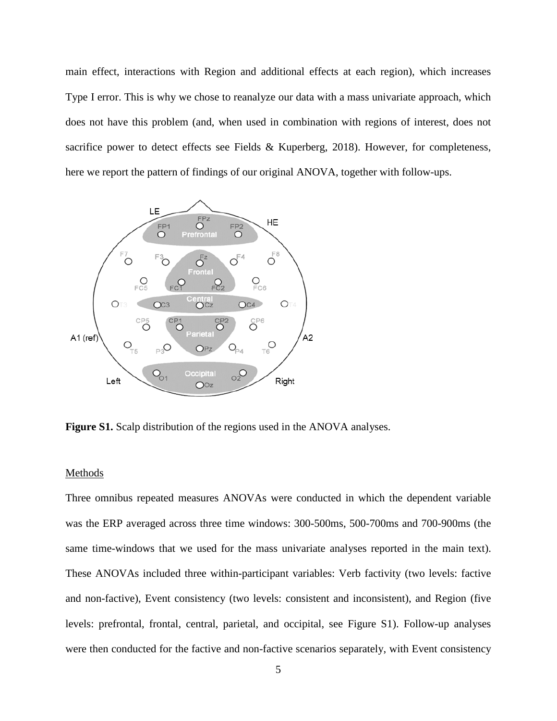main effect, interactions with Region and additional effects at each region), which increases Type I error. This is why we chose to reanalyze our data with a mass univariate approach, which does not have this problem (and, when used in combination with regions of interest, does not sacrifice power to detect effects see Fields & Kuperberg, 2018). However, for completeness, here we report the pattern of findings of our original ANOVA, together with follow-ups.



**Figure S1.** Scalp distribution of the regions used in the ANOVA analyses.

#### **Methods**

Three omnibus repeated measures ANOVAs were conducted in which the dependent variable was the ERP averaged across three time windows: 300-500ms, 500-700ms and 700-900ms (the same time-windows that we used for the mass univariate analyses reported in the main text). These ANOVAs included three within-participant variables: Verb factivity (two levels: factive and non-factive), Event consistency (two levels: consistent and inconsistent), and Region (five levels: prefrontal, frontal, central, parietal, and occipital, see Figure S1). Follow-up analyses were then conducted for the factive and non-factive scenarios separately, with Event consistency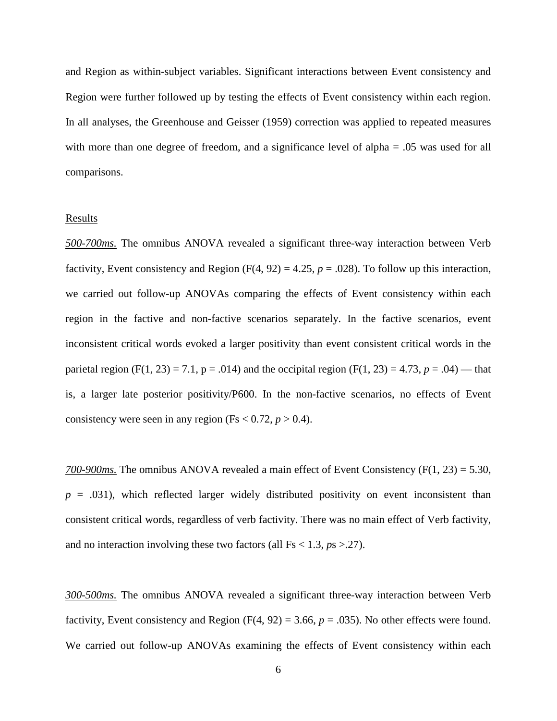and Region as within-subject variables. Significant interactions between Event consistency and Region were further followed up by testing the effects of Event consistency within each region. In all analyses, the Greenhouse and Geisser (1959) correction was applied to repeated measures with more than one degree of freedom, and a significance level of alpha = .05 was used for all comparisons.

#### **Results**

*500-700ms.* The omnibus ANOVA revealed a significant three-way interaction between Verb factivity, Event consistency and Region  $(F(4, 92) = 4.25, p = .028)$ . To follow up this interaction, we carried out follow-up ANOVAs comparing the effects of Event consistency within each region in the factive and non-factive scenarios separately. In the factive scenarios, event inconsistent critical words evoked a larger positivity than event consistent critical words in the parietal region (F(1, 23) = 7.1,  $p = .014$ ) and the occipital region (F(1, 23) = 4.73,  $p = .04$ ) — that is, a larger late posterior positivity/P600. In the non-factive scenarios, no effects of Event consistency were seen in any region (Fs  $< 0.72, p > 0.4$ ).

*700-900ms.* The omnibus ANOVA revealed a main effect of Event Consistency (F(1, 23) = 5.30,  $p = .031$ ), which reflected larger widely distributed positivity on event inconsistent than consistent critical words, regardless of verb factivity. There was no main effect of Verb factivity, and no interaction involving these two factors (all  $Fs < 1.3, ps > .27$ ).

*300-500ms.* The omnibus ANOVA revealed a significant three-way interaction between Verb factivity, Event consistency and Region  $(F(4, 92) = 3.66, p = .035)$ . No other effects were found. We carried out follow-up ANOVAs examining the effects of Event consistency within each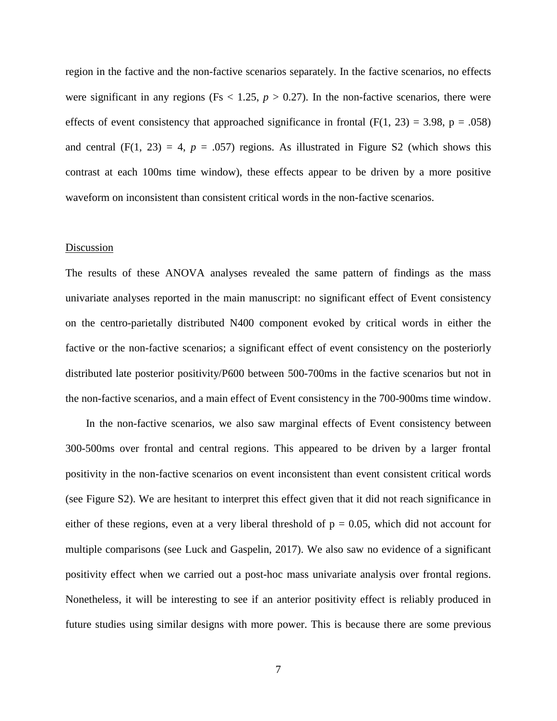region in the factive and the non-factive scenarios separately. In the factive scenarios, no effects were significant in any regions (Fs  $<$  1.25,  $p > 0.27$ ). In the non-factive scenarios, there were effects of event consistency that approached significance in frontal  $(F(1, 23) = 3.98, p = .058)$ and central  $(F(1, 23) = 4, p = .057)$  regions. As illustrated in Figure S2 (which shows this contrast at each 100ms time window), these effects appear to be driven by a more positive waveform on inconsistent than consistent critical words in the non-factive scenarios.

### **Discussion**

The results of these ANOVA analyses revealed the same pattern of findings as the mass univariate analyses reported in the main manuscript: no significant effect of Event consistency on the centro-parietally distributed N400 component evoked by critical words in either the factive or the non-factive scenarios; a significant effect of event consistency on the posteriorly distributed late posterior positivity/P600 between 500-700ms in the factive scenarios but not in the non-factive scenarios, and a main effect of Event consistency in the 700-900ms time window.

In the non-factive scenarios, we also saw marginal effects of Event consistency between 300-500ms over frontal and central regions. This appeared to be driven by a larger frontal positivity in the non-factive scenarios on event inconsistent than event consistent critical words (see Figure S2). We are hesitant to interpret this effect given that it did not reach significance in either of these regions, even at a very liberal threshold of  $p = 0.05$ , which did not account for multiple comparisons (see Luck and Gaspelin, 2017). We also saw no evidence of a significant positivity effect when we carried out a post-hoc mass univariate analysis over frontal regions. Nonetheless, it will be interesting to see if an anterior positivity effect is reliably produced in future studies using similar designs with more power. This is because there are some previous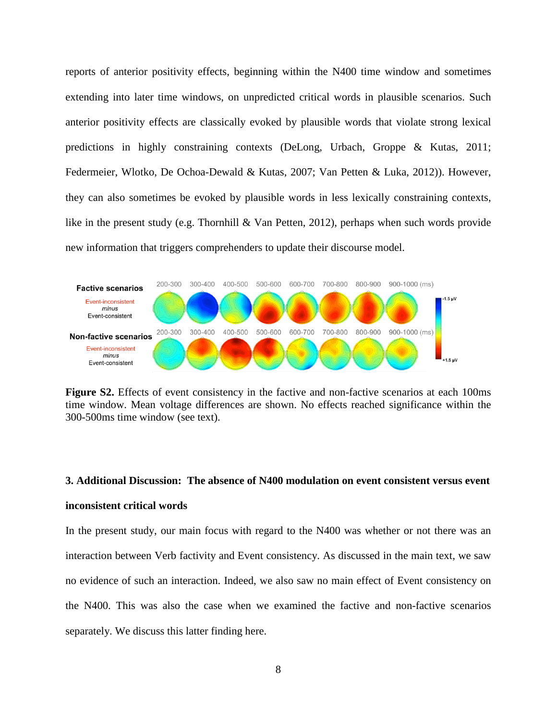reports of anterior positivity effects, beginning within the N400 time window and sometimes extending into later time windows, on unpredicted critical words in plausible scenarios. Such anterior positivity effects are classically evoked by plausible words that violate strong lexical predictions in highly constraining contexts (DeLong, Urbach, Groppe & Kutas, 2011; Federmeier, Wlotko, De Ochoa-Dewald & Kutas, 2007; Van Petten & Luka, 2012)). However, they can also sometimes be evoked by plausible words in less lexically constraining contexts, like in the present study (e.g. Thornhill & Van Petten, 2012), perhaps when such words provide new information that triggers comprehenders to update their discourse model.



**Figure S2.** Effects of event consistency in the factive and non-factive scenarios at each 100ms time window. Mean voltage differences are shown. No effects reached significance within the 300-500ms time window (see text).

## **3. Additional Discussion: The absence of N400 modulation on event consistent versus event**

## **inconsistent critical words**

In the present study, our main focus with regard to the N400 was whether or not there was an interaction between Verb factivity and Event consistency. As discussed in the main text, we saw no evidence of such an interaction. Indeed, we also saw no main effect of Event consistency on the N400. This was also the case when we examined the factive and non-factive scenarios separately. We discuss this latter finding here.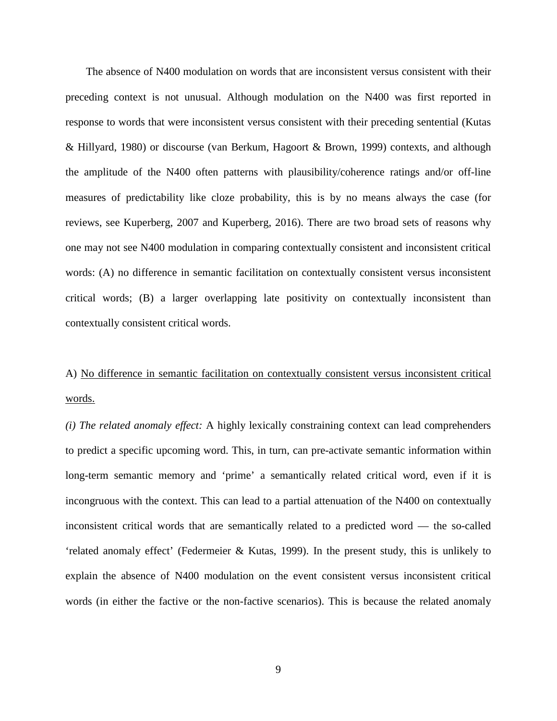The absence of N400 modulation on words that are inconsistent versus consistent with their preceding context is not unusual. Although modulation on the N400 was first reported in response to words that were inconsistent versus consistent with their preceding sentential (Kutas & Hillyard, 1980) or discourse (van Berkum, Hagoort & Brown, 1999) contexts, and although the amplitude of the N400 often patterns with plausibility/coherence ratings and/or off-line measures of predictability like cloze probability, this is by no means always the case (for reviews, see Kuperberg, 2007 and Kuperberg, 2016). There are two broad sets of reasons why one may not see N400 modulation in comparing contextually consistent and inconsistent critical words: (A) no difference in semantic facilitation on contextually consistent versus inconsistent critical words; (B) a larger overlapping late positivity on contextually inconsistent than contextually consistent critical words.

# A) No difference in semantic facilitation on contextually consistent versus inconsistent critical words.

*(i) The related anomaly effect:* A highly lexically constraining context can lead comprehenders to predict a specific upcoming word. This, in turn, can pre-activate semantic information within long-term semantic memory and 'prime' a semantically related critical word, even if it is incongruous with the context. This can lead to a partial attenuation of the N400 on contextually inconsistent critical words that are semantically related to a predicted word — the so-called 'related anomaly effect' (Federmeier & Kutas, 1999). In the present study, this is unlikely to explain the absence of N400 modulation on the event consistent versus inconsistent critical words (in either the factive or the non-factive scenarios). This is because the related anomaly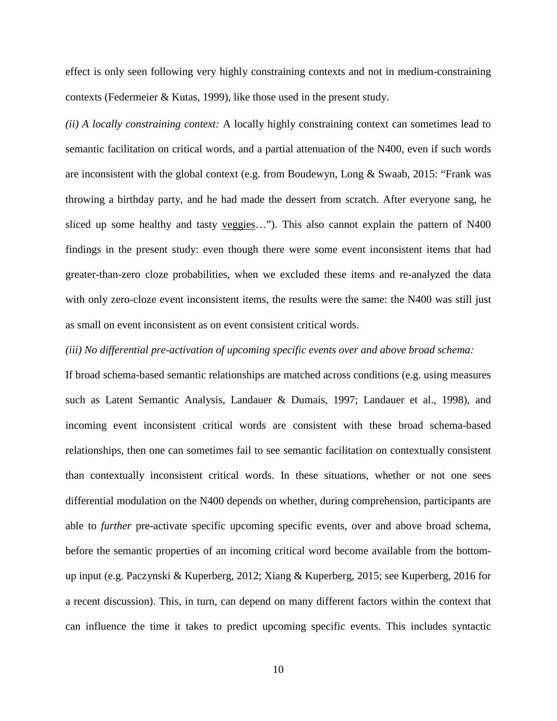effect is only seen following very highly constraining contexts and not in medium-constraining contexts (Federmeier & Kutas, 1999), like those used in the present study.

*(ii) A locally constraining context:* A locally highly constraining context can sometimes lead to semantic facilitation on critical words, and a partial attenuation of the N400, even if such words are inconsistent with the global context (e.g. from Boudewyn, Long & Swaab, 2015: "Frank was throwing a birthday party, and he had made the dessert from scratch. After everyone sang, he sliced up some healthy and tasty veggies..."). This also cannot explain the pattern of N400 findings in the present study: even though there were some event inconsistent items that had greater-than-zero cloze probabilities, when we excluded these items and re-analyzed the data with only zero-cloze event inconsistent items, the results were the same: the N400 was still just as small on event inconsistent as on event consistent critical words.

### *(iii) No differential pre-activation of upcoming specific events over and above broad schema:*

If broad schema-based semantic relationships are matched across conditions (e.g. using measures such as Latent Semantic Analysis, Landauer & Dumais, 1997; Landauer et al., 1998), and incoming event inconsistent critical words are consistent with these broad schema-based relationships, then one can sometimes fail to see semantic facilitation on contextually consistent than contextually inconsistent critical words. In these situations, whether or not one sees differential modulation on the N400 depends on whether, during comprehension, participants are able to *further* pre-activate specific upcoming specific events, over and above broad schema, before the semantic properties of an incoming critical word become available from the bottomup input (e.g. Paczynski & Kuperberg, 2012; Xiang & Kuperberg, 2015; see Kuperberg, 2016 for a recent discussion). This, in turn, can depend on many different factors within the context that can influence the time it takes to predict upcoming specific events. This includes syntactic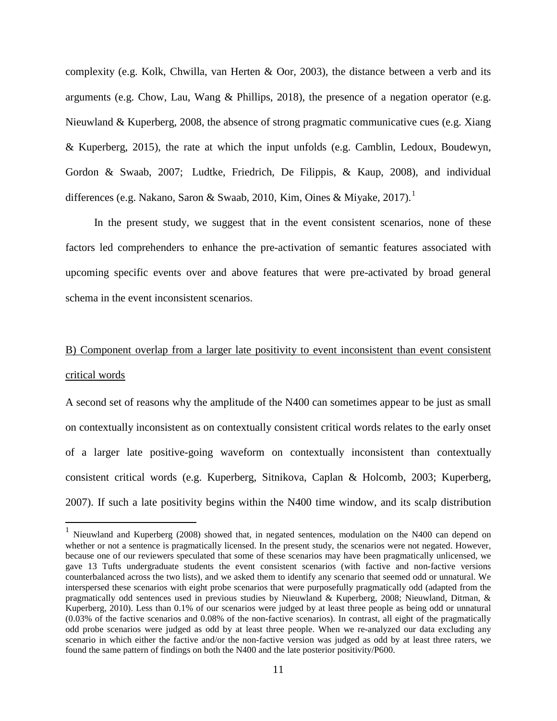complexity (e.g. Kolk, Chwilla, van Herten & Oor, 2003), the distance between a verb and its arguments (e.g. Chow, Lau, Wang & Phillips, 2018), the presence of a negation operator (e.g. Nieuwland & Kuperberg, 2008, the absence of strong pragmatic communicative cues (e.g. Xiang & Kuperberg, 2015), the rate at which the input unfolds (e.g. Camblin, Ledoux, Boudewyn, Gordon & Swaab, 2007; Ludtke, Friedrich, De Filippis, & Kaup, 2008), and individual differences (e.g. Nakano, Saron & Swaab, 20[1](#page-10-0)0, Kim, Oines & Miyake, 2017).<sup>1</sup>

In the present study, we suggest that in the event consistent scenarios, none of these factors led comprehenders to enhance the pre-activation of semantic features associated with upcoming specific events over and above features that were pre-activated by broad general schema in the event inconsistent scenarios.

# B) Component overlap from a larger late positivity to event inconsistent than event consistent critical words

A second set of reasons why the amplitude of the N400 can sometimes appear to be just as small on contextually inconsistent as on contextually consistent critical words relates to the early onset of a larger late positive-going waveform on contextually inconsistent than contextually consistent critical words (e.g. Kuperberg, Sitnikova, Caplan & Holcomb, 2003; Kuperberg, 2007). If such a late positivity begins within the N400 time window, and its scalp distribution

<span id="page-10-0"></span><sup>&</sup>lt;sup>1</sup> Nieuwland and Kuperberg (2008) showed that, in negated sentences, modulation on the N400 can depend on whether or not a sentence is pragmatically licensed. In the present study, the scenarios were not negated. However, because one of our reviewers speculated that some of these scenarios may have been pragmatically unlicensed, we gave 13 Tufts undergraduate students the event consistent scenarios (with factive and non-factive versions counterbalanced across the two lists), and we asked them to identify any scenario that seemed odd or unnatural. We interspersed these scenarios with eight probe scenarios that were purposefully pragmatically odd (adapted from the pragmatically odd sentences used in previous studies by Nieuwland & Kuperberg, 2008; Nieuwland, Ditman, & Kuperberg, 2010). Less than 0.1% of our scenarios were judged by at least three people as being odd or unnatural (0.03% of the factive scenarios and 0.08% of the non-factive scenarios). In contrast, all eight of the pragmatically odd probe scenarios were judged as odd by at least three people. When we re-analyzed our data excluding any scenario in which either the factive and/or the non-factive version was judged as odd by at least three raters, we found the same pattern of findings on both the N400 and the late posterior positivity/P600.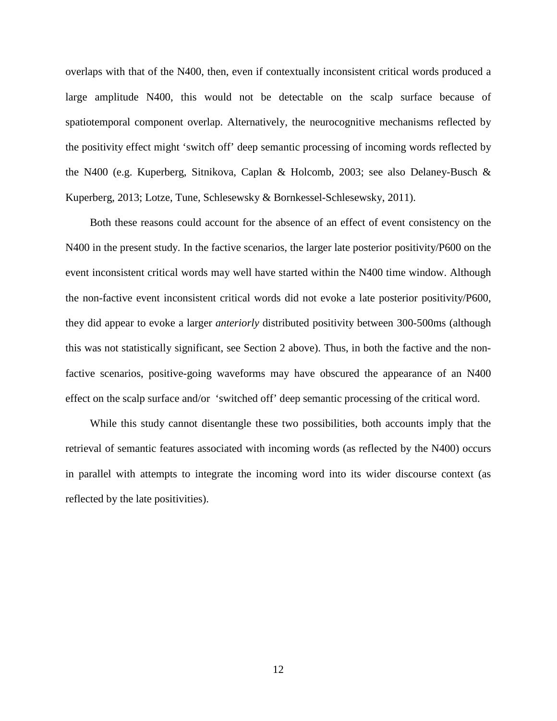overlaps with that of the N400, then, even if contextually inconsistent critical words produced a large amplitude N400, this would not be detectable on the scalp surface because of spatiotemporal component overlap. Alternatively, the neurocognitive mechanisms reflected by the positivity effect might 'switch off' deep semantic processing of incoming words reflected by the N400 (e.g. Kuperberg, Sitnikova, Caplan & Holcomb, 2003; see also Delaney-Busch & Kuperberg, 2013; Lotze, Tune, Schlesewsky & Bornkessel-Schlesewsky, 2011).

Both these reasons could account for the absence of an effect of event consistency on the N400 in the present study. In the factive scenarios, the larger late posterior positivity/P600 on the event inconsistent critical words may well have started within the N400 time window. Although the non-factive event inconsistent critical words did not evoke a late posterior positivity/P600, they did appear to evoke a larger *anteriorly* distributed positivity between 300-500ms (although this was not statistically significant, see Section 2 above). Thus, in both the factive and the nonfactive scenarios, positive-going waveforms may have obscured the appearance of an N400 effect on the scalp surface and/or 'switched off' deep semantic processing of the critical word.

While this study cannot disentangle these two possibilities, both accounts imply that the retrieval of semantic features associated with incoming words (as reflected by the N400) occurs in parallel with attempts to integrate the incoming word into its wider discourse context (as reflected by the late positivities).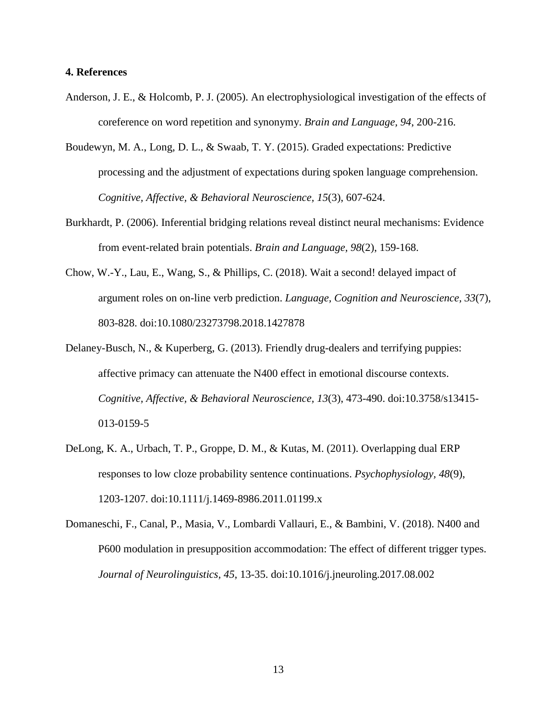### **4. References**

- Anderson, J. E., & Holcomb, P. J. (2005). An electrophysiological investigation of the effects of coreference on word repetition and synonymy. *Brain and Language, 94*, 200-216.
- Boudewyn, M. A., Long, D. L., & Swaab, T. Y. (2015). Graded expectations: Predictive processing and the adjustment of expectations during spoken language comprehension. *Cognitive, Affective, & Behavioral Neuroscience, 15*(3), 607-624.
- Burkhardt, P. (2006). Inferential bridging relations reveal distinct neural mechanisms: Evidence from event-related brain potentials. *Brain and Language, 98*(2), 159-168.
- Chow, W.-Y., Lau, E., Wang, S., & Phillips, C. (2018). Wait a second! delayed impact of argument roles on on-line verb prediction. *Language, Cognition and Neuroscience, 33*(7), 803-828. doi:10.1080/23273798.2018.1427878
- Delaney-Busch, N., & Kuperberg, G. (2013). Friendly drug-dealers and terrifying puppies: affective primacy can attenuate the N400 effect in emotional discourse contexts. *Cognitive, Affective, & Behavioral Neuroscience, 13*(3), 473-490. doi:10.3758/s13415- 013-0159-5
- DeLong, K. A., Urbach, T. P., Groppe, D. M., & Kutas, M. (2011). Overlapping dual ERP responses to low cloze probability sentence continuations. *Psychophysiology, 48*(9), 1203-1207. doi:10.1111/j.1469-8986.2011.01199.x
- Domaneschi, F., Canal, P., Masia, V., Lombardi Vallauri, E., & Bambini, V. (2018). N400 and P600 modulation in presupposition accommodation: The effect of different trigger types. *Journal of Neurolinguistics, 45*, 13-35. doi:10.1016/j.jneuroling.2017.08.002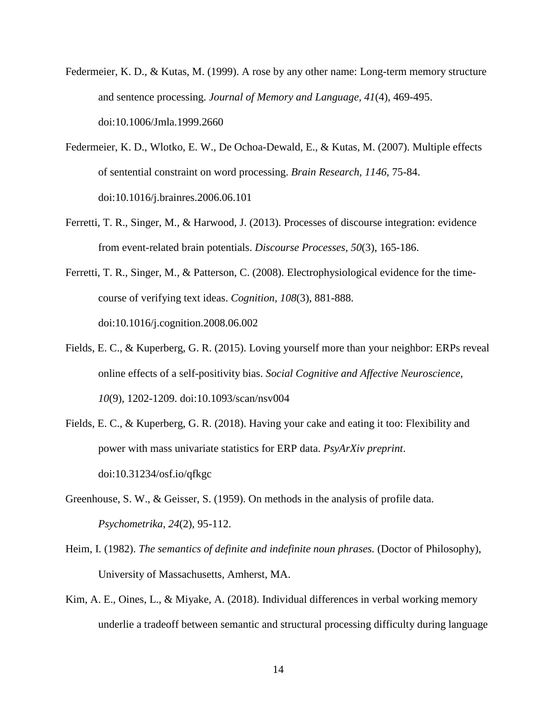- Federmeier, K. D., & Kutas, M. (1999). A rose by any other name: Long-term memory structure and sentence processing. *Journal of Memory and Language, 41*(4), 469-495. doi:10.1006/Jmla.1999.2660
- Federmeier, K. D., Wlotko, E. W., De Ochoa-Dewald, E., & Kutas, M. (2007). Multiple effects of sentential constraint on word processing. *Brain Research, 1146*, 75-84. doi:10.1016/j.brainres.2006.06.101
- Ferretti, T. R., Singer, M., & Harwood, J. (2013). Processes of discourse integration: evidence from event-related brain potentials. *Discourse Processes, 50*(3), 165-186.
- Ferretti, T. R., Singer, M., & Patterson, C. (2008). Electrophysiological evidence for the timecourse of verifying text ideas. *Cognition, 108*(3), 881-888. doi:10.1016/j.cognition.2008.06.002
- Fields, E. C., & Kuperberg, G. R. (2015). Loving yourself more than your neighbor: ERPs reveal online effects of a self-positivity bias. *Social Cognitive and Affective Neuroscience, 10*(9), 1202-1209. doi:10.1093/scan/nsv004
- Fields, E. C., & Kuperberg, G. R. (2018). Having your cake and eating it too: Flexibility and power with mass univariate statistics for ERP data. *PsyArXiv preprint*. doi:10.31234/osf.io/qfkgc
- Greenhouse, S. W., & Geisser, S. (1959). On methods in the analysis of profile data. *Psychometrika, 24*(2), 95-112.
- Heim, I. (1982). *The semantics of definite and indefinite noun phrases.* (Doctor of Philosophy), University of Massachusetts, Amherst, MA.
- Kim, A. E., Oines, L., & Miyake, A. (2018). Individual differences in verbal working memory underlie a tradeoff between semantic and structural processing difficulty during language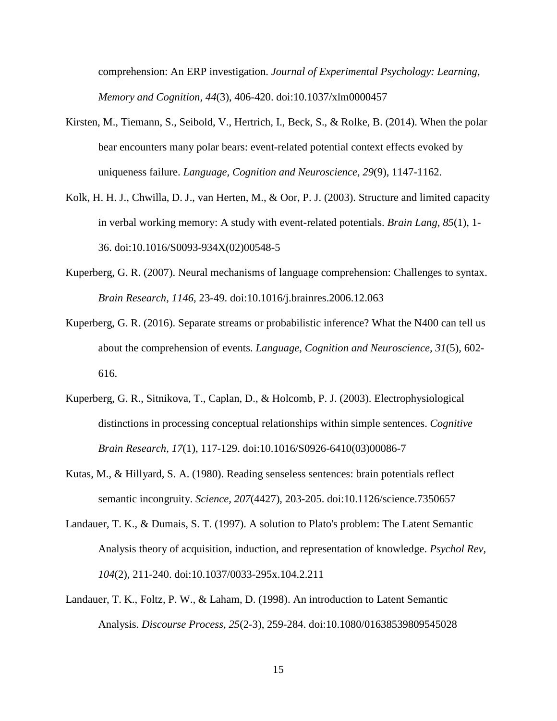comprehension: An ERP investigation. *Journal of Experimental Psychology: Learning, Memory and Cognition, 44*(3), 406-420. doi:10.1037/xlm0000457

- Kirsten, M., Tiemann, S., Seibold, V., Hertrich, I., Beck, S., & Rolke, B. (2014). When the polar bear encounters many polar bears: event-related potential context effects evoked by uniqueness failure. *Language, Cognition and Neuroscience, 29*(9), 1147-1162.
- Kolk, H. H. J., Chwilla, D. J., van Herten, M., & Oor, P. J. (2003). Structure and limited capacity in verbal working memory: A study with event-related potentials. *Brain Lang, 85*(1), 1- 36. doi:10.1016/S0093-934X(02)00548-5
- Kuperberg, G. R. (2007). Neural mechanisms of language comprehension: Challenges to syntax. *Brain Research, 1146*, 23-49. doi:10.1016/j.brainres.2006.12.063
- Kuperberg, G. R. (2016). Separate streams or probabilistic inference? What the N400 can tell us about the comprehension of events. *Language, Cognition and Neuroscience, 31*(5), 602- 616.
- Kuperberg, G. R., Sitnikova, T., Caplan, D., & Holcomb, P. J. (2003). Electrophysiological distinctions in processing conceptual relationships within simple sentences. *Cognitive Brain Research, 17*(1), 117-129. doi:10.1016/S0926-6410(03)00086-7
- Kutas, M., & Hillyard, S. A. (1980). Reading senseless sentences: brain potentials reflect semantic incongruity. *Science, 207*(4427), 203-205. doi:10.1126/science.7350657
- Landauer, T. K., & Dumais, S. T. (1997). A solution to Plato's problem: The Latent Semantic Analysis theory of acquisition, induction, and representation of knowledge. *Psychol Rev, 104*(2), 211-240. doi:10.1037/0033-295x.104.2.211
- Landauer, T. K., Foltz, P. W., & Laham, D. (1998). An introduction to Latent Semantic Analysis. *Discourse Process, 25*(2-3), 259-284. doi:10.1080/01638539809545028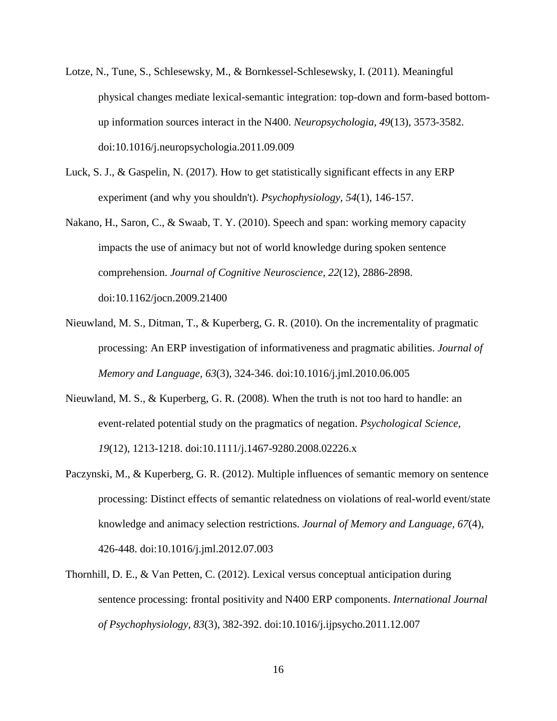- Lotze, N., Tune, S., Schlesewsky, M., & Bornkessel-Schlesewsky, I. (2011). Meaningful physical changes mediate lexical-semantic integration: top-down and form-based bottomup information sources interact in the N400. *Neuropsychologia, 49*(13), 3573-3582. doi:10.1016/j.neuropsychologia.2011.09.009
- Luck, S. J., & Gaspelin, N. (2017). How to get statistically significant effects in any ERP experiment (and why you shouldn't). *Psychophysiology, 54*(1), 146-157.
- Nakano, H., Saron, C., & Swaab, T. Y. (2010). Speech and span: working memory capacity impacts the use of animacy but not of world knowledge during spoken sentence comprehension. *Journal of Cognitive Neuroscience, 22*(12), 2886-2898. doi:10.1162/jocn.2009.21400
- Nieuwland, M. S., Ditman, T., & Kuperberg, G. R. (2010). On the incrementality of pragmatic processing: An ERP investigation of informativeness and pragmatic abilities. *Journal of Memory and Language, 63*(3), 324-346. doi:10.1016/j.jml.2010.06.005
- Nieuwland, M. S., & Kuperberg, G. R. (2008). When the truth is not too hard to handle: an event-related potential study on the pragmatics of negation. *Psychological Science, 19*(12), 1213-1218. doi:10.1111/j.1467-9280.2008.02226.x
- Paczynski, M., & Kuperberg, G. R. (2012). Multiple influences of semantic memory on sentence processing: Distinct effects of semantic relatedness on violations of real-world event/state knowledge and animacy selection restrictions. *Journal of Memory and Language, 67*(4), 426-448. doi:10.1016/j.jml.2012.07.003
- Thornhill, D. E., & Van Petten, C. (2012). Lexical versus conceptual anticipation during sentence processing: frontal positivity and N400 ERP components. *International Journal of Psychophysiology, 83*(3), 382-392. doi:10.1016/j.ijpsycho.2011.12.007